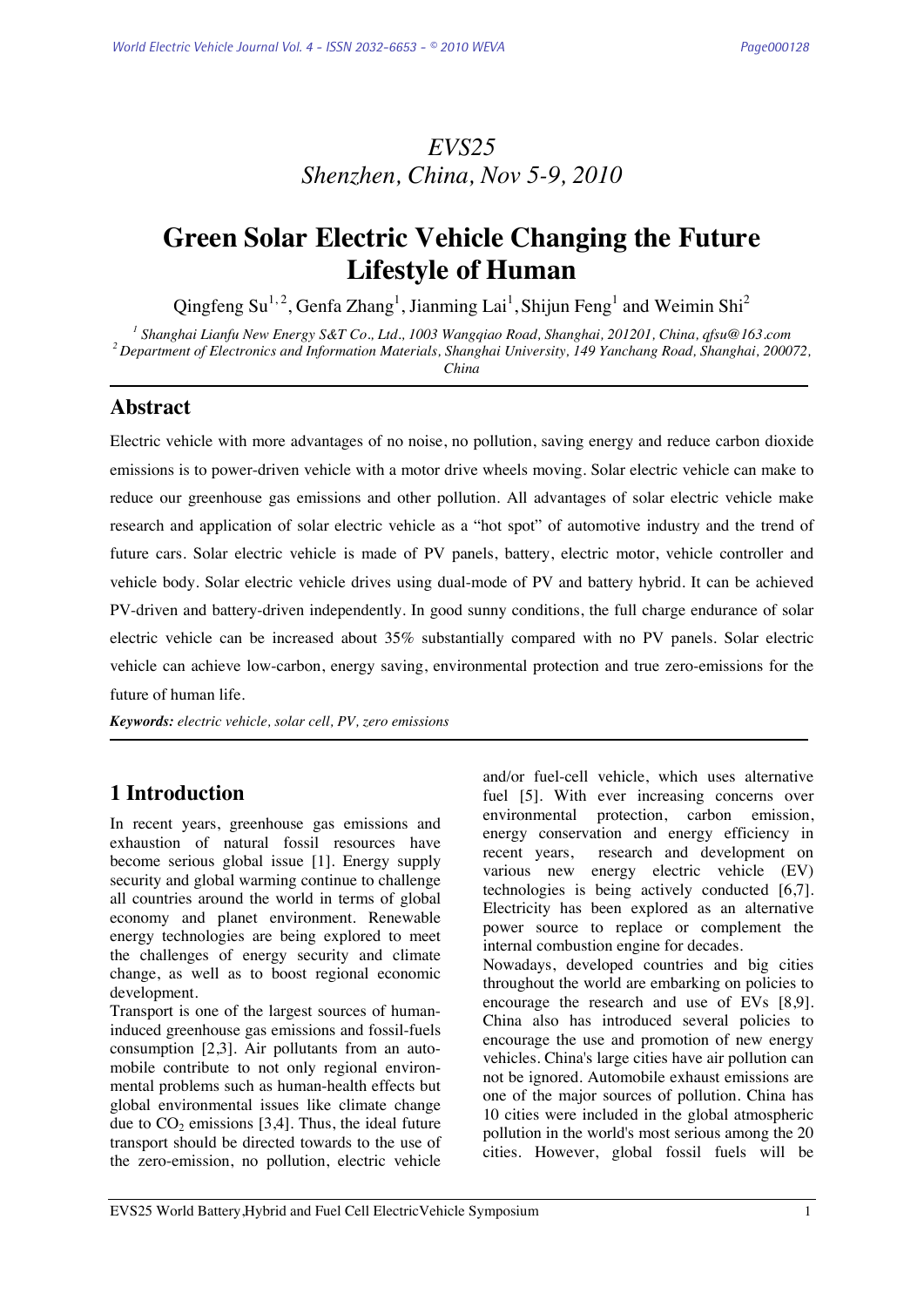# *EVS25 Shenzhen, China, Nov 5-9, 2010*

# **Green Solar Electric Vehicle Changing the Future Lifestyle of Human**

Qingfeng Su<sup>1,2</sup>, Genfa Zhang<sup>1</sup>, Jianming Lai<sup>1</sup>, Shijun Feng<sup>1</sup> and Weimin Shi<sup>2</sup>

<sup>1</sup> Shanghai Lianfu New Energy S&T Co., Ltd., 1003 Wanggiao Road, Shanghai, 201201, China, afsu@163.com <sup>2</sup> Department of Electronics and Information Materials, Shanghai University, 149 Yanchang Road, Shanghai, 200072, *China* 

**Abstract** 

Electric vehicle with more advantages of no noise, no pollution, saving energy and reduce carbon dioxide emissions is to power-driven vehicle with a motor drive wheels moving. Solar electric vehicle can make to reduce our greenhouse gas emissions and other pollution. All advantages of solar electric vehicle make research and application of solar electric vehicle as a "hot spot" of automotive industry and the trend of future cars. Solar electric vehicle is made of PV panels, battery, electric motor, vehicle controller and vehicle body. Solar electric vehicle drives using dual-mode of PV and battery hybrid. It can be achieved PV-driven and battery-driven independently. In good sunny conditions, the full charge endurance of solar electric vehicle can be increased about 35% substantially compared with no PV panels. Solar electric vehicle can achieve low-carbon, energy saving, environmental protection and true zero-emissions for the future of human life.

*Keywords: electric vehicle, solar cell, PV, zero emissions*

# **1 Introduction**

In recent years, greenhouse gas emissions and exhaustion of natural fossil resources have become serious global issue [1]. Energy supply security and global warming continue to challenge all countries around the world in terms of global economy and planet environment. Renewable energy technologies are being explored to meet the challenges of energy security and climate change, as well as to boost regional economic development.

Transport is one of the largest sources of humaninduced greenhouse gas emissions and fossil-fuels consumption [2,3]. Air pollutants from an automobile contribute to not only regional environmental problems such as human-health effects but global environmental issues like climate change due to  $CO<sub>2</sub>$  emissions [3,4]. Thus, the ideal future transport should be directed towards to the use of the zero-emission, no pollution, electric vehicle and/or fuel-cell vehicle, which uses alternative fuel [5]. With ever increasing concerns over environmental protection, carbon emission, energy conservation and energy efficiency in recent years, research and development on various new energy electric vehicle (EV) technologies is being actively conducted [6,7]. Electricity has been explored as an alternative power source to replace or complement the internal combustion engine for decades. Nowadays, developed countries and big cities throughout the world are embarking on policies to encourage the research and use of EVs [8,9]. China also has introduced several policies to encourage the use and promotion of new energy vehicles. China's large cities have air pollution can not be ignored. Automobile exhaust emissions are one of the major sources of pollution. China has 10 cities were included in the global atmospheric pollution in the world's most serious among the 20 cities. However, global fossil fuels will be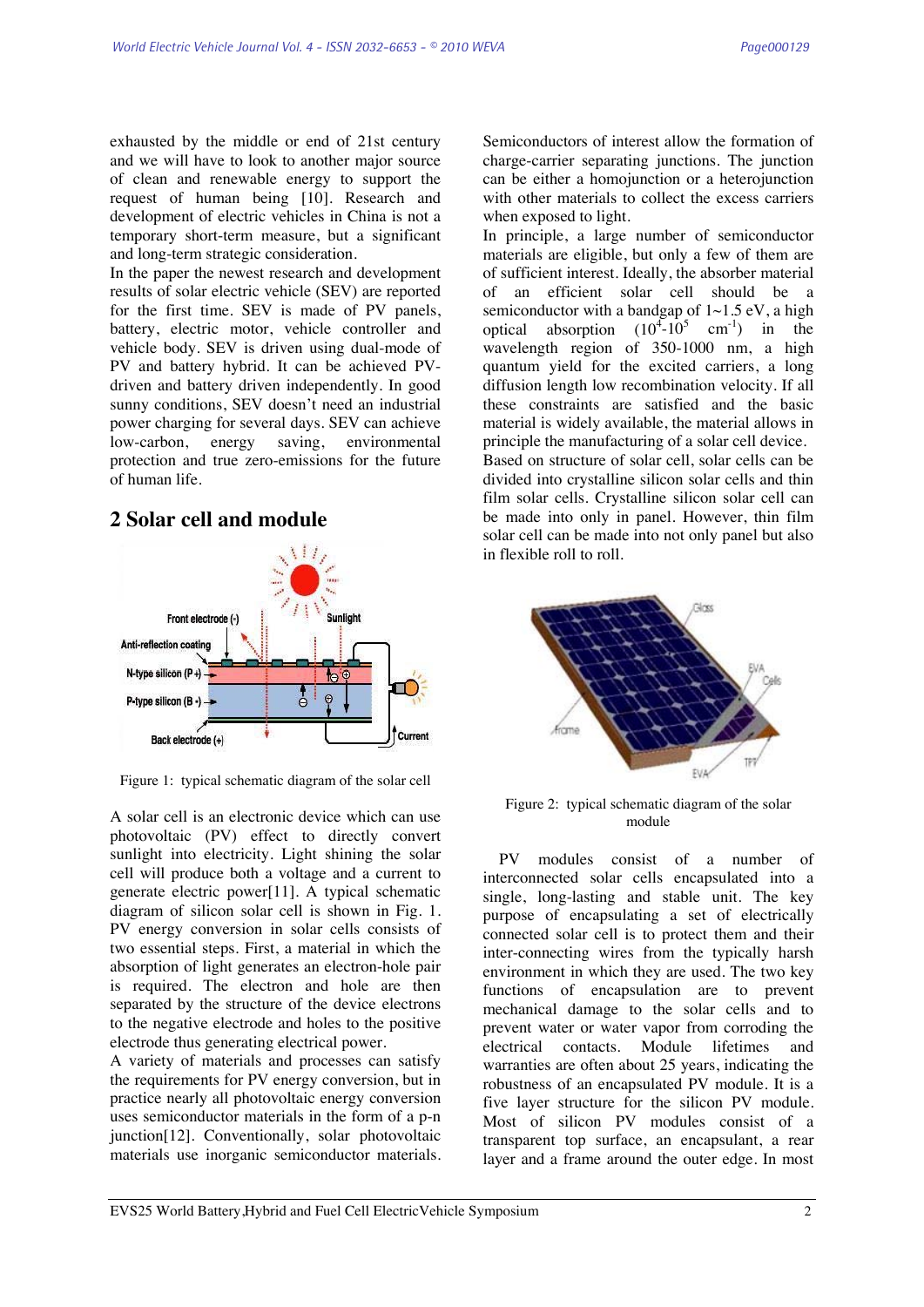exhausted by the middle or end of 21st century and we will have to look to another major source of clean and renewable energy to support the request of human being [10]. Research and development of electric vehicles in China is not a temporary short-term measure, but a significant and long-term strategic consideration.

In the paper the newest research and development results of solar electric vehicle (SEV) are reported for the first time. SEV is made of PV panels, battery, electric motor, vehicle controller and vehicle body. SEV is driven using dual-mode of PV and battery hybrid. It can be achieved PVdriven and battery driven independently. In good sunny conditions, SEV doesn't need an industrial power charging for several days. SEV can achieve low-carbon, energy saving, environmental protection and true zero-emissions for the future of human life.

# **2 Solar cell and module**



Figure 1: typical schematic diagram of the solar cell

A solar cell is an electronic device which can use photovoltaic (PV) effect to directly convert sunlight into electricity. Light shining the solar cell will produce both a voltage and a current to generate electric power[11]. A typical schematic diagram of silicon solar cell is shown in Fig. 1. PV energy conversion in solar cells consists of two essential steps. First, a material in which the absorption of light generates an electron-hole pair is required. The electron and hole are then separated by the structure of the device electrons to the negative electrode and holes to the positive electrode thus generating electrical power.

A variety of materials and processes can satisfy the requirements for PV energy conversion, but in practice nearly all photovoltaic energy conversion uses semiconductor materials in the form of a p-n junction[12]. Conventionally, solar photovoltaic materials use inorganic semiconductor materials. Semiconductors of interest allow the formation of charge-carrier separating junctions. The junction can be either a homojunction or a heterojunction with other materials to collect the excess carriers when exposed to light.

In principle, a large number of semiconductor materials are eligible, but only a few of them are of sufficient interest. Ideally, the absorber material of an efficient solar cell should be a semiconductor with a bandgap of  $1~1.5~\text{eV}$ , a high optical absorption  $(10^4 - 10^5 \text{ cm}^{-1})$  in the wavelength region of 350-1000 nm, a high quantum yield for the excited carriers, a long diffusion length low recombination velocity. If all these constraints are satisfied and the basic material is widely available, the material allows in principle the manufacturing of a solar cell device. Based on structure of solar cell, solar cells can be divided into crystalline silicon solar cells and thin film solar cells. Crystalline silicon solar cell can be made into only in panel. However, thin film solar cell can be made into not only panel but also in flexible roll to roll.



Figure 2: typical schematic diagram of the solar module

PV modules consist of a number of interconnected solar cells encapsulated into a single, long-lasting and stable unit. The key purpose of encapsulating a set of electrically connected solar cell is to protect them and their inter-connecting wires from the typically harsh environment in which they are used. The two key functions of encapsulation are to prevent mechanical damage to the solar cells and to prevent water or water vapor from corroding the electrical contacts. Module lifetimes and warranties are often about 25 years, indicating the robustness of an encapsulated PV module. It is a five layer structure for the silicon PV module. Most of silicon PV modules consist of a transparent top surface, an encapsulant, a rear layer and a frame around the outer edge. In most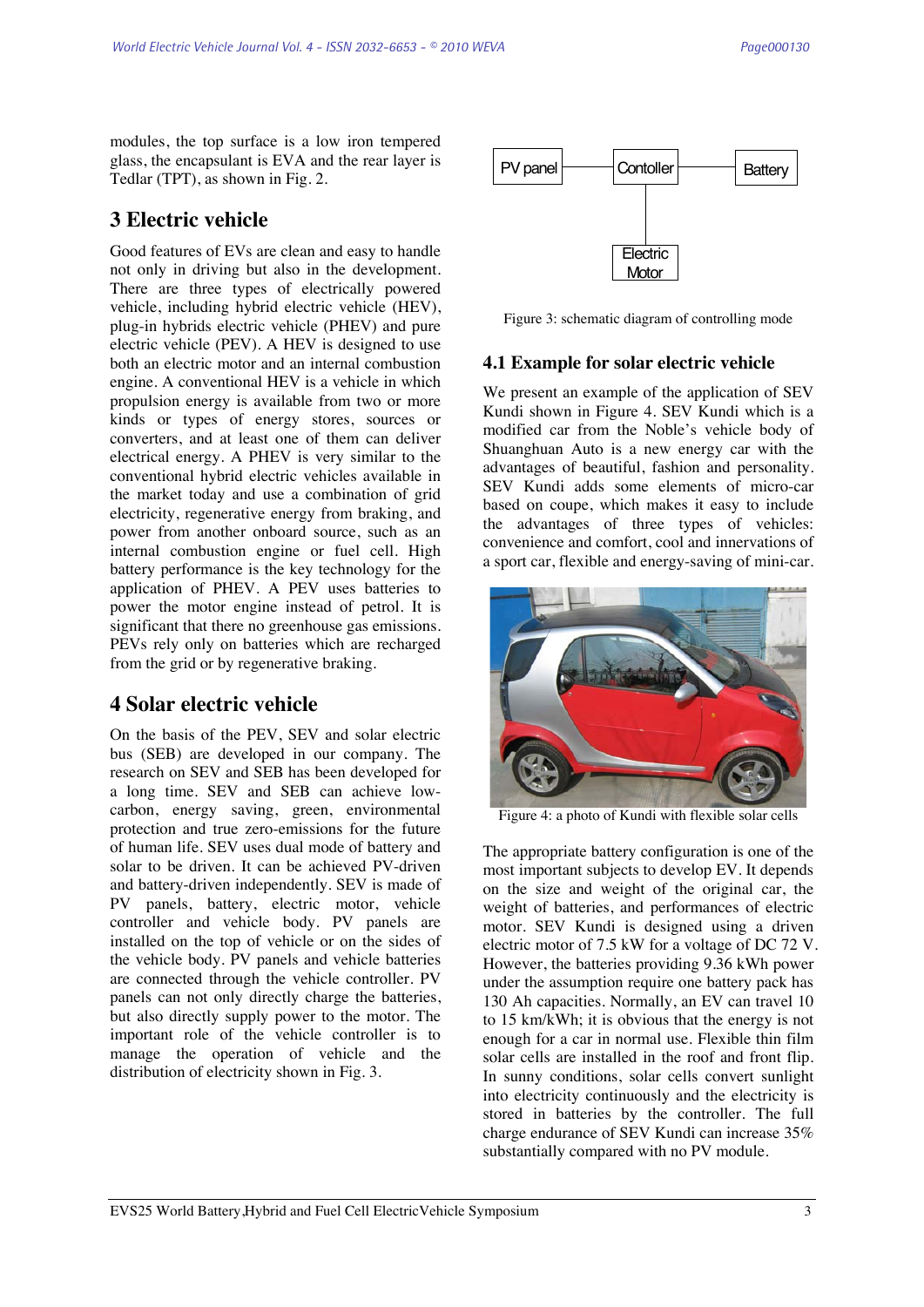modules, the top surface is a low iron tempered glass, the encapsulant is EVA and the rear layer is Tedlar (TPT), as shown in Fig. 2.

# **3 Electric vehicle**

Good features of EVs are clean and easy to handle not only in driving but also in the development. There are three types of electrically powered vehicle, including hybrid electric vehicle (HEV), plug-in hybrids electric vehicle (PHEV) and pure electric vehicle (PEV). A HEV is designed to use both an electric motor and an internal combustion engine. A conventional HEV is a vehicle in which propulsion energy is available from two or more kinds or types of energy stores, sources or converters, and at least one of them can deliver electrical energy. A PHEV is very similar to the conventional hybrid electric vehicles available in the market today and use a combination of grid electricity, regenerative energy from braking, and power from another onboard source, such as an internal combustion engine or fuel cell. High battery performance is the key technology for the application of PHEV. A PEV uses batteries to power the motor engine instead of petrol. It is significant that there no greenhouse gas emissions. PEVs rely only on batteries which are recharged from the grid or by regenerative braking.

# **4 Solar electric vehicle**

On the basis of the PEV, SEV and solar electric bus (SEB) are developed in our company. The research on SEV and SEB has been developed for a long time. SEV and SEB can achieve lowcarbon, energy saving, green, environmental protection and true zero-emissions for the future of human life. SEV uses dual mode of battery and solar to be driven. It can be achieved PV-driven and battery-driven independently. SEV is made of PV panels, battery, electric motor, vehicle controller and vehicle body. PV panels are installed on the top of vehicle or on the sides of the vehicle body. PV panels and vehicle batteries are connected through the vehicle controller. PV panels can not only directly charge the batteries, but also directly supply power to the motor. The important role of the vehicle controller is to manage the operation of vehicle and the distribution of electricity shown in Fig. 3.



Figure 3: schematic diagram of controlling mode

### **4.1 Example for solar electric vehicle**

We present an example of the application of SEV Kundi shown in Figure 4. SEV Kundi which is a modified car from the Noble's vehicle body of Shuanghuan Auto is a new energy car with the advantages of beautiful, fashion and personality. SEV Kundi adds some elements of micro-car based on coupe, which makes it easy to include the advantages of three types of vehicles: convenience and comfort, cool and innervations of a sport car, flexible and energy-saving of mini-car.



Figure 4: a photo of Kundi with flexible solar cells

The appropriate battery configuration is one of the most important subjects to develop EV. It depends on the size and weight of the original car, the weight of batteries, and performances of electric motor. SEV Kundi is designed using a driven electric motor of 7.5 kW for a voltage of DC 72 V. However, the batteries providing 9.36 kWh power under the assumption require one battery pack has 130 Ah capacities. Normally, an EV can travel 10 to 15 km/kWh; it is obvious that the energy is not enough for a car in normal use. Flexible thin film solar cells are installed in the roof and front flip. In sunny conditions, solar cells convert sunlight into electricity continuously and the electricity is stored in batteries by the controller. The full charge endurance of SEV Kundi can increase 35% substantially compared with no PV module.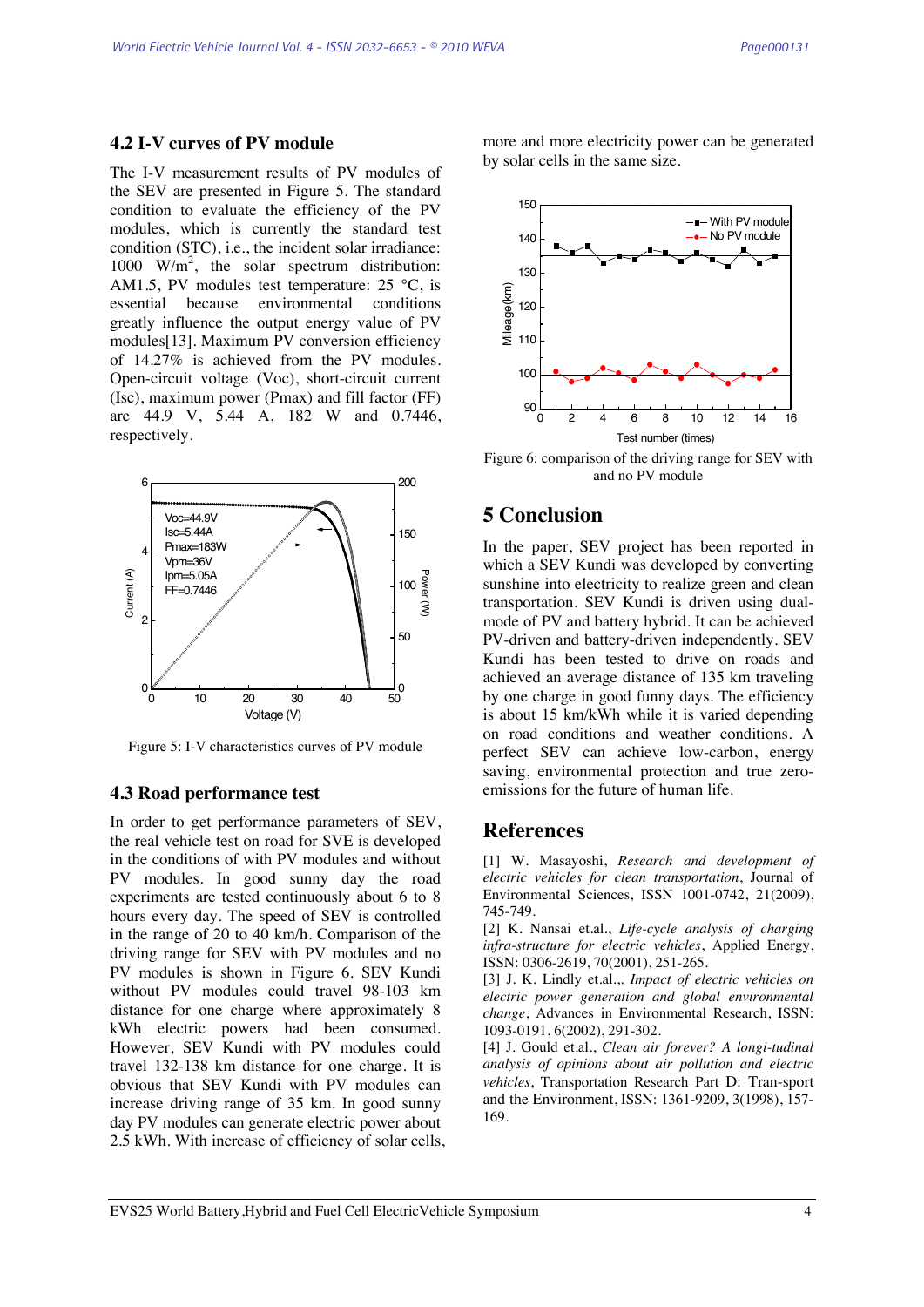### **4.2 I-V curves of PV module**

The I-V measurement results of PV modules of the SEV are presented in Figure 5. The standard condition to evaluate the efficiency of the PV modules, which is currently the standard test condition (STC), i.e., the incident solar irradiance: 1000  $W/m^2$ , the solar spectrum distribution: AM1.5, PV modules test temperature:  $25^{\circ}$ C, is essential because environmental conditions greatly influence the output energy value of PV modules[13]. Maximum PV conversion efficiency of 14.27% is achieved from the PV modules. Open-circuit voltage (Voc), short-circuit current (Isc), maximum power (Pmax) and fill factor (FF) are 44.9 V, 5.44 A, 182 W and 0.7446, respectively.



Figure 5: I-V characteristics curves of PV module

#### **4.3 Road performance test**

In order to get performance parameters of SEV, the real vehicle test on road for SVE is developed in the conditions of with PV modules and without PV modules. In good sunny day the road experiments are tested continuously about 6 to 8 hours every day. The speed of SEV is controlled in the range of 20 to 40 km/h. Comparison of the driving range for SEV with PV modules and no PV modules is shown in Figure 6. SEV Kundi without PV modules could travel 98-103 km distance for one charge where approximately 8 kWh electric powers had been consumed. However, SEV Kundi with PV modules could travel 132-138 km distance for one charge. It is obvious that SEV Kundi with PV modules can increase driving range of 35 km. In good sunny day PV modules can generate electric power about 2.5 kWh. With increase of efficiency of solar cells, more and more electricity power can be generated by solar cells in the same size.



Figure 6: comparison of the driving range for SEV with and no PV module

## **5 Conclusion**

In the paper, SEV project has been reported in which a SEV Kundi was developed by converting sunshine into electricity to realize green and clean transportation. SEV Kundi is driven using dualmode of PV and battery hybrid. It can be achieved PV-driven and battery-driven independently. SEV Kundi has been tested to drive on roads and achieved an average distance of 135 km traveling by one charge in good funny days. The efficiency is about 15 km/kWh while it is varied depending on road conditions and weather conditions. A perfect SEV can achieve low-carbon, energy saving, environmental protection and true zeroemissions for the future of human life.

### **References**

[1] W. Masayoshi, *Research and development of electric vehicles for clean transportation*, Journal of Environmental Sciences, ISSN 1001-0742, 21(2009), 745-749.

[2] K. Nansai et.al., *Life-cycle analysis of charging infra-structure for electric vehicles*, Applied Energy, ISSN: 0306-2619, 70(2001), 251-265.

[3] J. K. Lindly et.al.,. *Impact of electric vehicles on electric power generation and global environmental change*, Advances in Environmental Research, ISSN: 1093-0191, 6(2002), 291-302.

[4] J. Gould et.al., *Clean air forever? A longi-tudinal analysis of opinions about air pollution and electric vehicles*, Transportation Research Part D: Tran-sport and the Environment, ISSN: 1361-9209, 3(1998), 157- 169.